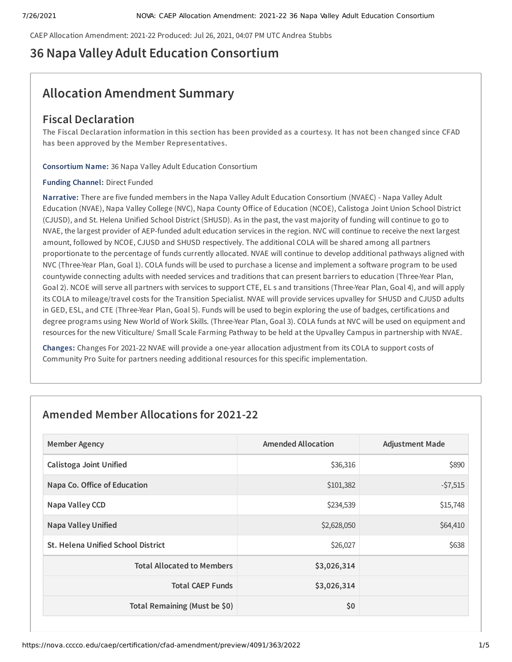CAEP Allocation Amendment: 2021-22 Produced: Jul 26, 2021, 04:07 PM UTC Andrea Stubbs

# **36 Napa Valley Adult Education Consortium**

# **Allocation Amendment Summary**

# **Fiscal Declaration**

The Fiscal Declaration information in this section has been provided as a courtesy. It has not been changed since CFAD **has been approved by the Member Representatives.**

**Consortium Name:** 36 Napa Valley Adult Education Consortium

### **Funding Channel:** Direct Funded

**Narrative:** There are five funded members in the Napa Valley Adult Education Consortium (NVAEC) - Napa Valley Adult Education (NVAE), Napa Valley College (NVC), Napa County Office of Education (NCOE), Calistoga Joint Union School District (CJUSD), and St. Helena Unified School District (SHUSD). As in the past, the vast majority of funding will continue to go to NVAE, the largest provider of AEP-funded adult education services in the region. NVC will continue to receive the next largest amount, followed by NCOE, CJUSD and SHUSD respectively. The additional COLA will be shared among all partners proportionate to the percentage of funds currently allocated. NVAE will continue to develop additional pathways aligned with NVC (Three-Year Plan, Goal 1). COLA funds will be used to purchase a license and implement a software program to be used countywide connecting adults with needed services and traditions that can present barriers to education (Three-Year Plan, Goal 2). NCOE will serve all partners with services to support CTE, EL s and transitions (Three-Year Plan, Goal 4), and will apply its COLA to mileage/travel costs for the Transition Specialist. NVAE will provide services upvalley for SHUSD and CJUSD adults in GED, ESL, and CTE (Three-Year Plan, Goal 5). Funds will be used to begin exploring the use of badges, certifications and degree programs using New World of Work Skills. (Three-Year Plan, Goal 3). COLA funds at NVC will be used on equipment and resources for the new Viticulture/ Small Scale Farming Pathway to be held at the Upvalley Campus in partnership with NVAE.

**Changes:** Changes For 2021-22 NVAE will provide a one-year allocation adjustment from its COLA to support costs of Community Pro Suite for partners needing additional resources for this specific implementation.

# **Amended Member Allocations for 2021-22**

| <b>Member Agency</b>               | <b>Amended Allocation</b> | <b>Adjustment Made</b> |
|------------------------------------|---------------------------|------------------------|
| <b>Calistoga Joint Unified</b>     | \$36,316                  | \$890                  |
| Napa Co. Office of Education       | \$101,382                 | $-57,515$              |
| Napa Valley CCD                    | \$234,539                 | \$15,748               |
| <b>Napa Valley Unified</b>         | \$2,628,050               | \$64,410               |
| St. Helena Unified School District | \$26,027                  | \$638                  |
| <b>Total Allocated to Members</b>  | \$3,026,314               |                        |
| <b>Total CAEP Funds</b>            | \$3,026,314               |                        |
| Total Remaining (Must be \$0)      | \$0                       |                        |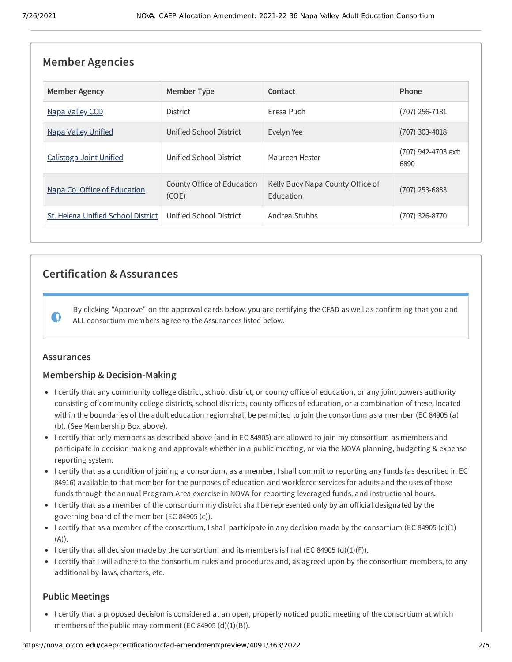| <b>Member Agencies</b>             |                                     |                                               |                             |  |
|------------------------------------|-------------------------------------|-----------------------------------------------|-----------------------------|--|
| <b>Member Agency</b>               | <b>Member Type</b>                  | Contact                                       | Phone                       |  |
| Napa Valley CCD                    | <b>District</b>                     | Eresa Puch                                    | $(707)$ 256-7181            |  |
| <b>Napa Valley Unified</b>         | Unified School District             | Evelyn Yee                                    | $(707)$ 303-4018            |  |
| Calistoga Joint Unified            | Unified School District             | Maureen Hester                                | (707) 942-4703 ext:<br>6890 |  |
| Napa Co. Office of Education       | County Office of Education<br>(COE) | Kelly Bucy Napa County Office of<br>Education | $(707)$ 253-6833            |  |
| St. Helena Unified School District | Unified School District             | Andrea Stubbs                                 | (707) 326-8770              |  |

# **Certification & Assurances**

By clicking "Approve" on the approval cards below, you are certifying the CFAD as well as confirming that you and ALL consortium members agree to the Assurances listed below.

## **Assurances**

 $\mathbf 0$ 

# **Membership & Decision-Making**

- I certify that any community college district, school district, or county office of education, or any joint powers authority consisting of community college districts, school districts, county offices of education, or a combination of these, located within the boundaries of the adult education region shall be permitted to join the consortium as a member (EC 84905 (a) (b). (See Membership Box above).
- I certify that only members as described above (and in EC 84905) are allowed to join my consortium as members and participate in decision making and approvals whether in a public meeting, or via the NOVA planning, budgeting & expense reporting system.
- I certify that as a condition of joining a consortium, as a member, I shall commit to reporting any funds (as described in EC 84916) available to that member for the purposes of education and workforce services for adults and the uses of those funds through the annual Program Area exercise in NOVA for reporting leveraged funds, and instructional hours.
- I certify that as a member of the consortium my district shall be represented only by an official designated by the governing board of the member (EC 84905 (c)).
- I certify that as a member of the consortium, I shall participate in any decision made by the consortium (EC 84905 (d)(1) (A)).
- I certify that all decision made by the consortium and its members is final (EC 84905 (d)(1)(F)).
- I certify that I will adhere to the consortium rules and procedures and, as agreed upon by the consortium members, to any additional by-laws, charters, etc.

# **Public Meetings**

I certify that a proposed decision is considered at an open, properly noticed public meeting of the consortium at which members of the public may comment (EC 84905  $(d)(1)(B)$ ).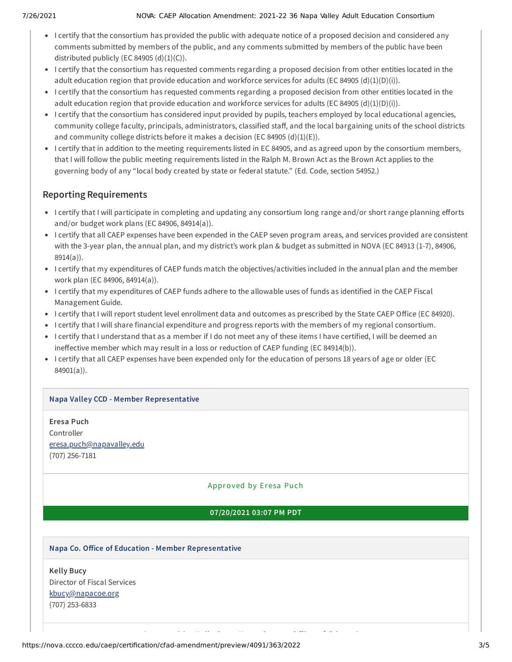- I certify that the consortium has provided the public with adequate notice of a proposed decision and considered any comments submitted by members of the public, and any comments submitted by members of the public have been distributed publicly (EC 84905  $(d)(1)(C)$ ).
- I certify that the consortium has requested comments regarding a proposed decision from other entities located in the adult education region that provide education and workforce services for adults (EC 84905 (d)(1)(D)(i)).
- I certify that the consortium has requested comments regarding a proposed decision from other entities located in the adult education region that provide education and workforce services for adults (EC 84905 (d)(1)(D)(i)).
- I certify that the consortium has considered input provided by pupils, teachers employed by local educational agencies, community college faculty, principals, administrators, classified staff, and the local bargaining units of the school districts and community college districts before it makes a decision (EC 84905 (d)(1)(E)).
- I certify that in addition to the meeting requirements listed in EC 84905, and as agreed upon by the consortium members, that I will follow the public meeting requirements listed in the Ralph M. Brown Act as the Brown Act applies to the governing body of any "local body created by state or federal statute." (Ed. Code, section 54952.)

# **Reporting Requirements**

- I certify that I will participate in completing and updating any consortium long range and/or short range planning efforts and/or budget work plans (EC 84906, 84914(a)).
- I certify that all CAEP expenses have been expended in the CAEP seven program areas, and services provided are consistent with the 3-year plan, the annual plan, and my district's work plan & budget as submitted in NOVA (EC 84913 (1-7), 84906, 8914(a)).
- I certify that my expenditures of CAEP funds match the objectives/activities included in the annual plan and the member work plan (EC 84906, 84914(a)).
- I certify that my expenditures of CAEP funds adhere to the allowable uses of funds as identified in the CAEP Fiscal Management Guide.
- I certify that I will report student level enrollment data and outcomes as prescribed by the State CAEP Office (EC 84920).
- I certify that I will share financial expenditure and progress reports with the members of my regional consortium.
- I certify that I understand that as a member if I do not meet any of these items I have certified, I will be deemed an ineffective member which may result in a loss or reduction of CAEP funding (EC 84914(b)).
- I certify that all CAEP expenses have been expended only for the education of persons 18 years of age or older (EC 84901(a)).

# **Napa Valley CCD - Member Representative**

**Eresa Puch** Controller [eresa.puch@napavalley.edu](mailto:eresa.puch@napavalley.edu) (707) 256-7181

# Approved by Er esa Puch

## **07/20/2021 03:07 PM PDT**

A d'an d'an de bhaile an t-aiste an dùthchan an dùthchan an dùthchan an dùthchan an dùthchan an dùthchan an dù<br>An dùthchan

## **Napa Co. Office of Education - Member Representative**

**Kelly Bucy** Director of Fiscal Services [kbucy@napacoe.org](mailto:kbucy@napacoe.org) (707) 253-6833